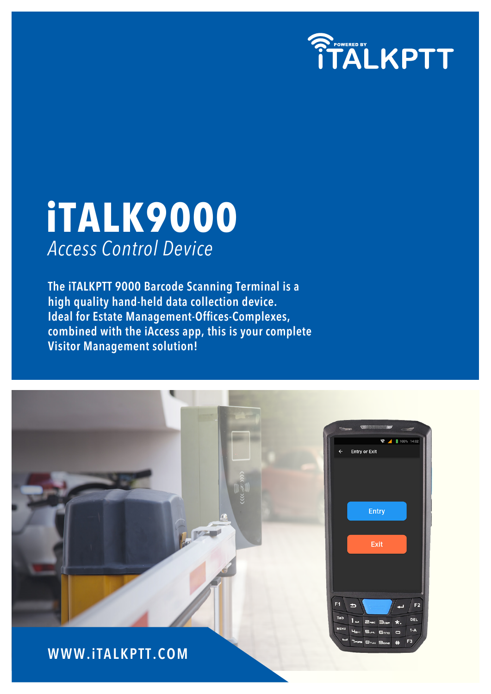

# **iTALK9000** *Access Control Device*

**The iTALKPTT 9000 Barcode Scanning Terminal is a high quality hand-held data collection device. Ideal for Estate Management-Offices-Complexes, combined with the iAccess app, this is your complete Visitor Management solution!**

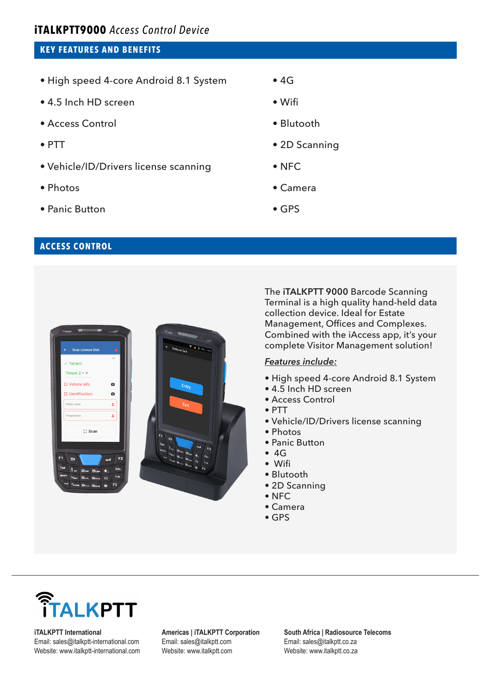## **iTALKPTT9000** *Access Control Device*

## **KEY FEATURES AND BENEFITS**

- High speed 4-core Android 8.1 System
- 4.5 Inch HD screen
- Access Control
- PTT
- Vehicle/ID/Drivers license scanning
- Photos
- Panic Button

## • 4G

- Wifi
- Blutooth
- 2D Scanning
- NFC
- Camera
- GPS

## **ACCESS CONTROL**



The **iTALKPTT 9000** Barcode Scanning Terminal is a high quality hand-held data collection device. Ideal for Estate Management, Offices and Complexes. Combined with the iAccess app, it's your complete Visitor Management solution!

#### *Features include:*

- High speed 4-core Android 8.1 System
- 4.5 Inch HD screen
- Access Control
- PTT
- Vehicle/ID/Drivers license scanning
- Photos
- Panic Button
- 4G
- Wifi
- Blutooth
- 2D Scanning
- NFC
- Camera
- GPS



**iTALKPTT International** Email: sales@italkptt-international.com Website: www.italkptt-international.com **Americas | iTALKPTT Corporation** Email: sales@italkptt.com Website: www.italkptt.com

**South Africa | Radiosource Telecoms** Email: sales@italkptt.co.za Website: www.italkptt.co.za